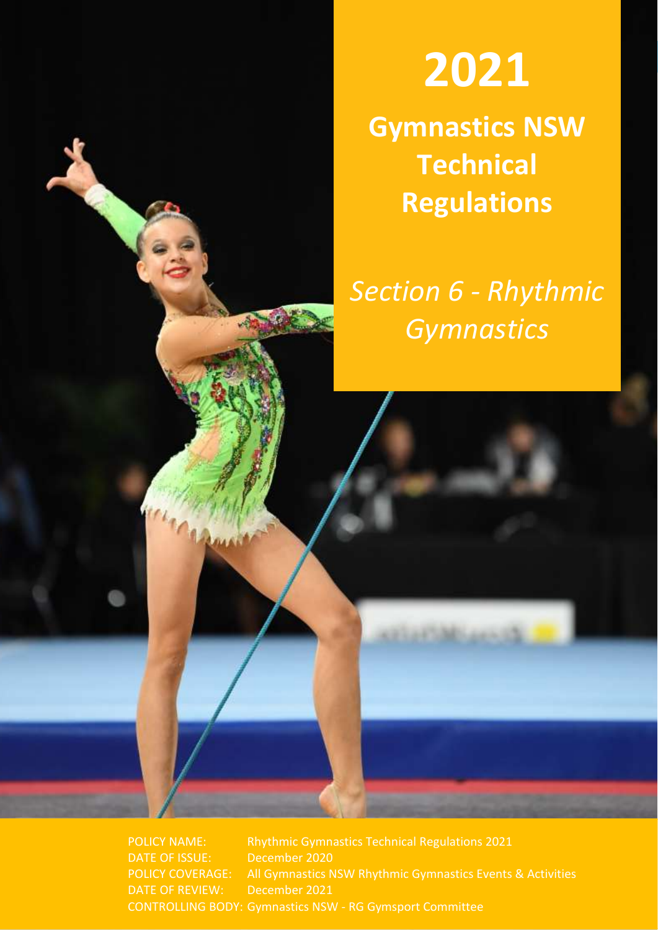

# Gymnastics NSW **2021**

**Gymnastics NSW Technical Regulations**

*Section 6 - Rhythmic Gymnastics*

POLICY NAME: Rhythmic Gymnastics Technical Regulations 2021 DATE OF ISSUE: December 2020 POLICY COVERAGE: All Gymnastics NSW Rhythmic Gymnastics Events & Activities DATE OF REVIEW: December 2021 CONTROLLING BODY: Gymnastics NSW - RG Gymsport Committee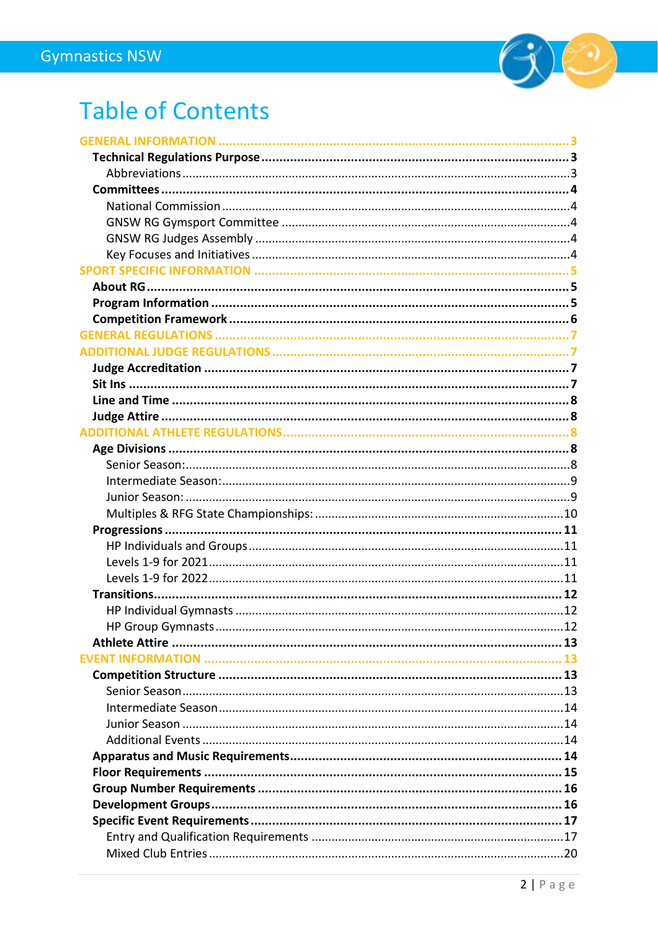

# **Table of Contents**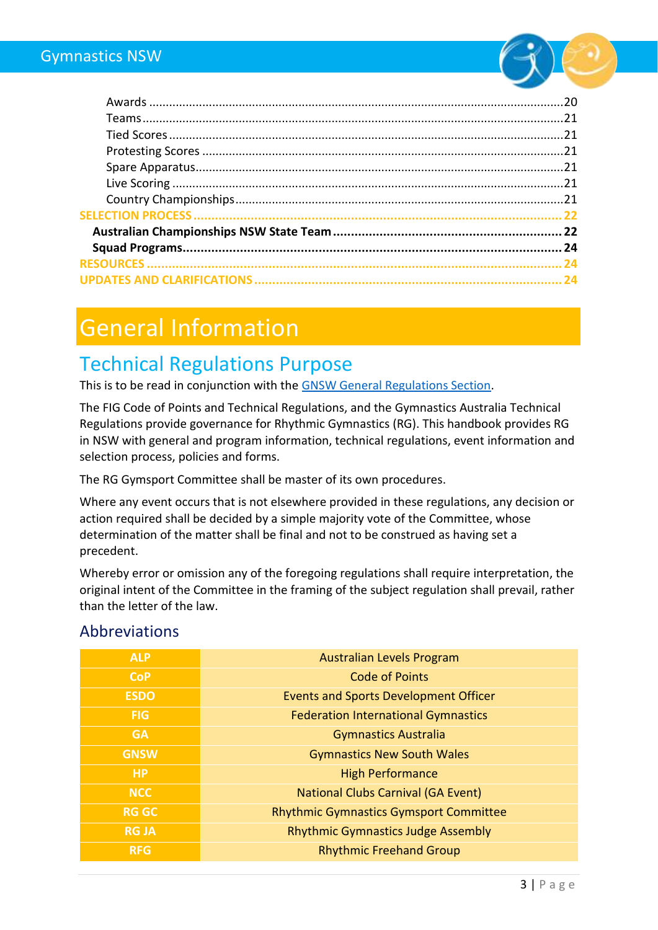

# <span id="page-2-0"></span>General Information

### <span id="page-2-1"></span>Technical Regulations Purpose

This is to be read in conjunction with the GNSW General [Regulations Section.](https://www.nswgymnastics.com.au/)

The FIG Code of Points and Technical Regulations, and the Gymnastics Australia Technical Regulations provide governance for Rhythmic Gymnastics (RG). This handbook provides RG in NSW with general and program information, technical regulations, event information and selection process, policies and forms.

The RG Gymsport Committee shall be master of its own procedures.

Where any event occurs that is not elsewhere provided in these regulations, any decision or action required shall be decided by a simple majority vote of the Committee, whose determination of the matter shall be final and not to be construed as having set a precedent.

Whereby error or omission any of the foregoing regulations shall require interpretation, the original intent of the Committee in the framing of the subject regulation shall prevail, rather than the letter of the law.

#### <span id="page-2-2"></span>Abbreviations

| <b>ALP</b>   | <b>Australian Levels Program</b>              |
|--------------|-----------------------------------------------|
| <b>CoP</b>   | <b>Code of Points</b>                         |
| <b>ESDO</b>  | <b>Events and Sports Development Officer</b>  |
| <b>FIG</b>   | <b>Federation International Gymnastics</b>    |
| <b>GA</b>    | <b>Gymnastics Australia</b>                   |
| <b>GNSW</b>  | <b>Gymnastics New South Wales</b>             |
| <b>HP</b>    | <b>High Performance</b>                       |
| <b>NCC</b>   | <b>National Clubs Carnival (GA Event)</b>     |
| <b>RG GC</b> | <b>Rhythmic Gymnastics Gymsport Committee</b> |
| <b>RG JA</b> | <b>Rhythmic Gymnastics Judge Assembly</b>     |
| <b>RFG</b>   | <b>Rhythmic Freehand Group</b>                |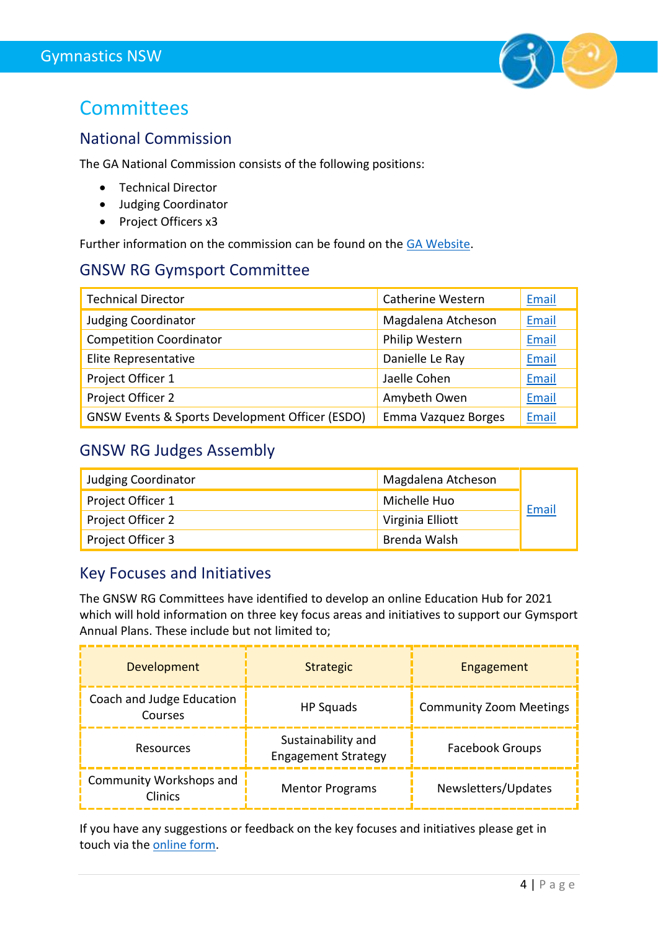

### <span id="page-3-0"></span>**Committees**

#### <span id="page-3-1"></span>National Commission

The GA National Commission consists of the following positions:

- Technical Director
- Judging Coordinator
- Project Officers x3

Further information on the commission can be found on the [GA Website.](https://www.gymnastics.org.au/GA/Gymsports/Rhythmic_Gymnastics/National_Commission/Shared_Content/Gymsports/RG/RG_National_Commission.aspx?hkey=cfdab0be-0098-4f58-9c40-db1e2ad199c5)

#### <span id="page-3-2"></span>GNSW RG Gymsport Committee

| <b>Technical Director</b>                                  | <b>Catherine Western</b> | Email |
|------------------------------------------------------------|--------------------------|-------|
| <b>Judging Coordinator</b>                                 | Magdalena Atcheson       | Email |
| <b>Competition Coordinator</b>                             | Philip Western           | Email |
| Elite Representative                                       | Danielle Le Ray          | Email |
| Project Officer 1                                          | Jaelle Cohen             | Email |
| Project Officer 2                                          | Amybeth Owen             | Email |
| <b>GNSW Events &amp; Sports Development Officer (ESDO)</b> | Emma Vazquez Borges      | Email |

#### <span id="page-3-3"></span>GNSW RG Judges Assembly

| <b>Judging Coordinator</b> | Magdalena Atcheson |       |
|----------------------------|--------------------|-------|
| Project Officer 1          | Michelle Huo       | Email |
| Project Officer 2          | Virginia Elliott   |       |
| Project Officer 3          | Brenda Walsh       |       |

#### <span id="page-3-4"></span>Key Focuses and Initiatives

The GNSW RG Committees have identified to develop an online Education Hub for 2021 which will hold information on three key focus areas and initiatives to support our Gymsport Annual Plans. These include but not limited to;

| <b>Development</b>                        | <b>Strategic</b>                                 | Engagement                     |
|-------------------------------------------|--------------------------------------------------|--------------------------------|
| Coach and Judge Education<br>Courses      | HP Squads                                        | <b>Community Zoom Meetings</b> |
| Resources                                 | Sustainability and<br><b>Engagement Strategy</b> | Facebook Groups                |
| Community Workshops and<br><b>Clinics</b> | <b>Mentor Programs</b>                           | Newsletters/Updates            |

If you have any suggestions or feedback on the key focuses and initiatives please get in touch via the [online form.](https://www.jotform.com/GymnasticsNSW/gnsw-committee-meetings--item-for-d)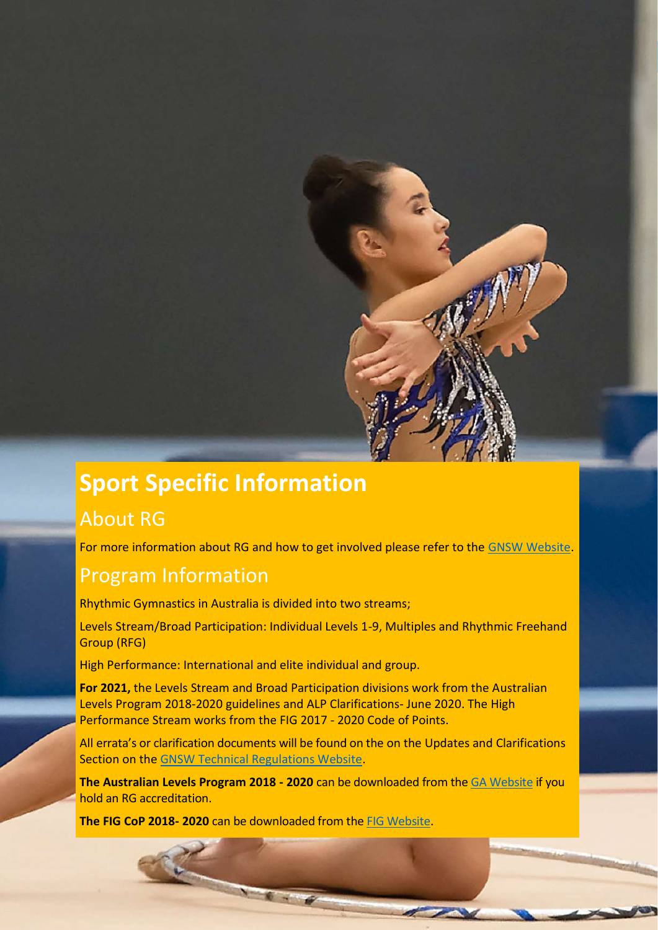# <span id="page-4-0"></span>**Sport Specific Information**

### <span id="page-4-1"></span>About RG

For more information about RG and how to get involved please refer to the [GNSW Website.](http://www.gymnsw.org.au/NSW/Members/Rhythmic_Gymnastics/About/NSW/Gymsports/Rhythmic/About_Rhythmic_Gymnastics.aspx?hkey=6ac62a06-19f4-42bc-9aa0-3d8dcd1f3664)

#### <span id="page-4-2"></span>Program Information

Rhythmic Gymnastics in Australia is divided into two streams;

Levels Stream/Broad Participation: Individual Levels 1-9, Multiples and Rhythmic Freehand Group (RFG)

High Performance: International and elite individual and group.

**For 2021,** the Levels Stream and Broad Participation divisions work from the Australian Levels Program 2018-2020 guidelines and ALP Clarifications- June 2020. The High Performance Stream works from the FIG 2017 - 2020 Code of Points.

All errata's or clarification documents will be found on the on the Updates and Clarifications Section on the [GNSW Technical Regulations Website.](https://www.nswgymnastics.com.au/event-forms-resources-and-updates)

**The Australian Levels Program 2018 - 2020** can be downloaded from the [GA Website](https://www.gymnastics.org.au/Ga/Contact_Management/Sign_In.aspx?WebsiteKey=8758252e-cc41-4d08-8411-f89e6e96780a&LoginRedirect=true&returnurl=%2fGA%2fGymsports%2fRhythmic_Gymnastics%2fTechnical_Information%2fShared_Content%2fGymsports%2fRG%2fRG_Technical_Regulations.aspx%3fhkey%3de3152107-1fe4-45d5-a39b-a45e563323f7) if you hold an RG accreditation.

**The FIG CoP 2018- 2020** can be downloaded from the [FIG Website.](https://www.fig-gymnastics.com/site/rules/rules.php#5)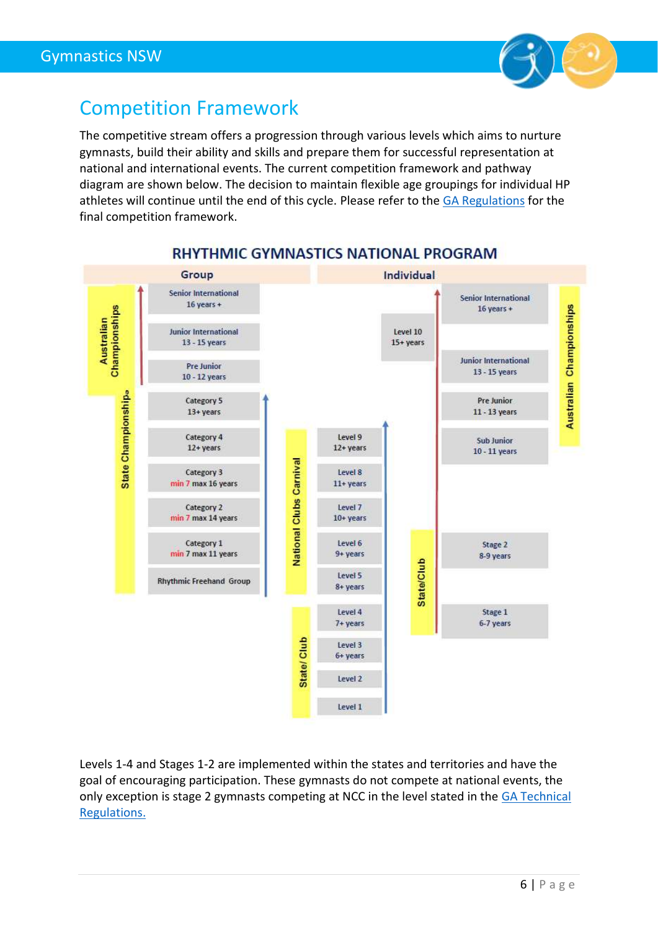

### <span id="page-5-0"></span>Competition Framework

The competitive stream offers a progression through various levels which aims to nurture gymnasts, build their ability and skills and prepare them for successful representation at national and international events. The current competition framework and pathway diagram are shown below. The decision to maintain flexible age groupings for individual HP athletes will continue until the end of this cycle. Please refer to th[e GA Regulations](https://www.gymnastics.org.au/GA/About_Us/By-laws__Policies___Technical_Regulations/Ga/About/By-laws__Policies___Technical_Regulations.aspx?hkey=08379530-4144-406e-ba6f-914e3e53d934) for the final competition framework.



#### **RHYTHMIC GYMNASTICS NATIONAL PROGRAM**

Levels 1-4 and Stages 1-2 are implemented within the states and territories and have the goal of encouraging participation. These gymnasts do not compete at national events, the only exception is stage 2 gymnasts competing at NCC in the level stated in the GA Technical [Regulations.](https://www.gymnastics.org.au/bylawsregulations)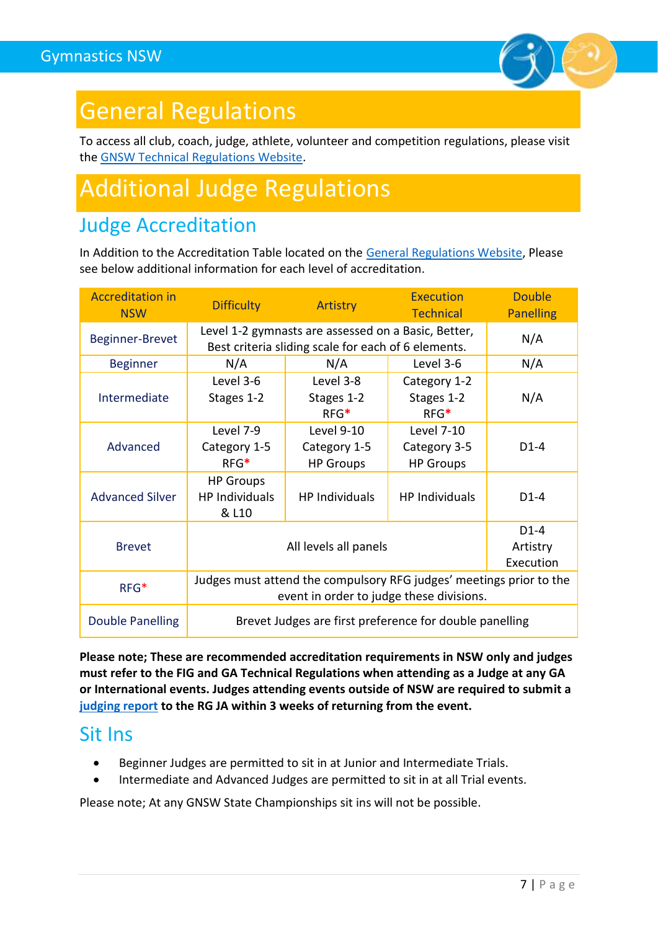

# <span id="page-6-0"></span>General Regulations

To access all club, coach, judge, athlete, volunteer and competition regulations, please visit the [GNSW Technical Regulations Website.](https://www.nswgymnastics.com.au/)

# <span id="page-6-1"></span>Additional Judge Regulations

### <span id="page-6-2"></span>Judge Accreditation

In Addition to the Accreditation Table located on the [General Regulations Website,](https://www.nswgymnastics.com.au/judge-regulations) Please see below additional information for each level of accreditation.

| <b>Accreditation in</b><br><b>NSW</b> | <b>Difficulty</b>                                                                                               | Artistry                                              | <b>Execution</b><br><b>Technical</b>                  | <b>Double</b><br><b>Panelling</b> |
|---------------------------------------|-----------------------------------------------------------------------------------------------------------------|-------------------------------------------------------|-------------------------------------------------------|-----------------------------------|
| Beginner-Brevet                       | Level 1-2 gymnasts are assessed on a Basic, Better,<br>Best criteria sliding scale for each of 6 elements.      |                                                       |                                                       | N/A                               |
| <b>Beginner</b>                       | N/A                                                                                                             | N/A                                                   | Level 3-6                                             | N/A                               |
| Intermediate                          | Level 3-6<br>Stages 1-2                                                                                         | Level 3-8<br>Stages 1-2<br>$RFG*$                     | Category 1-2<br>Stages 1-2<br>$RFG*$                  | N/A                               |
| Advanced                              | Level 7-9<br>Category 1-5<br>$RFG*$                                                                             | <b>Level 9-10</b><br>Category 1-5<br><b>HP Groups</b> | <b>Level 7-10</b><br>Category 3-5<br><b>HP Groups</b> | $D1-4$                            |
| <b>Advanced Silver</b>                | <b>HP Groups</b><br><b>HP Individuals</b><br>& L10                                                              | <b>HP Individuals</b>                                 | <b>HP Individuals</b>                                 | $D1-4$                            |
| <b>Brevet</b>                         | $D1-4$<br>All levels all panels<br>Artistry<br>Execution                                                        |                                                       |                                                       |                                   |
| $RFG*$                                | Judges must attend the compulsory RFG judges' meetings prior to the<br>event in order to judge these divisions. |                                                       |                                                       |                                   |
| Double Panelling                      | Brevet Judges are first preference for double panelling                                                         |                                                       |                                                       |                                   |

**Please note; These are recommended accreditation requirements in NSW only and judges must refer to the FIG and GA Technical Regulations when attending as a Judge at any GA or International events. Judges attending events outside of NSW are required to submit a [judging report](https://www.jotform.com/GymnasticsNSW/gnsw-rg-judging-report) to the RG JA within 3 weeks of returning from the event.**

### <span id="page-6-3"></span>Sit Ins

- Beginner Judges are permitted to sit in at Junior and Intermediate Trials.
- Intermediate and Advanced Judges are permitted to sit in at all Trial events.

Please note; At any GNSW State Championships sit ins will not be possible.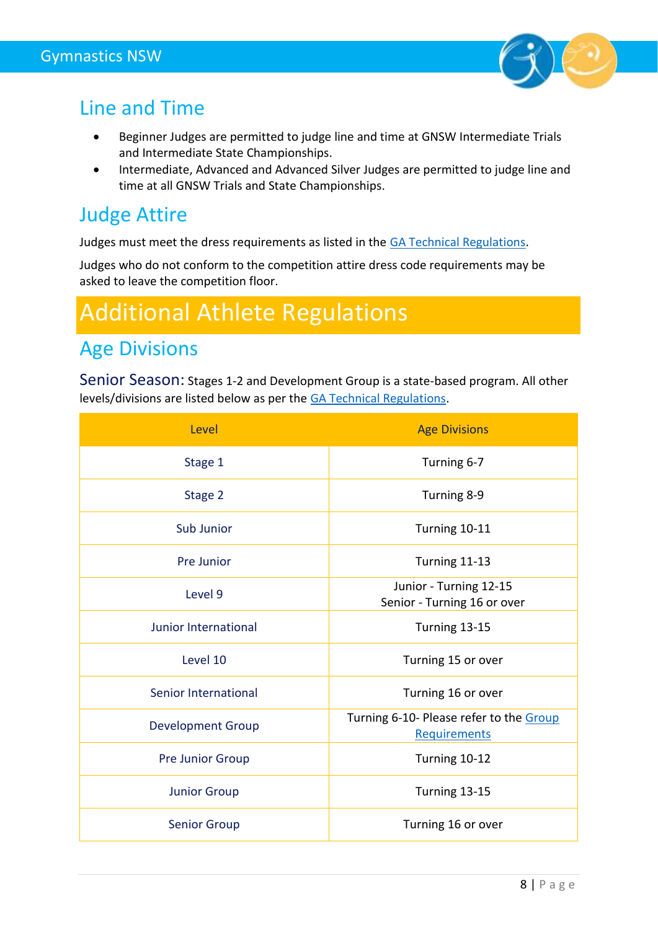

### <span id="page-7-0"></span>Line and Time

- Beginner Judges are permitted to judge line and time at GNSW Intermediate Trials and Intermediate State Championships.
- Intermediate, Advanced and Advanced Silver Judges are permitted to judge line and time at all GNSW Trials and State Championships.

### <span id="page-7-1"></span>Judge Attire

Judges must meet the dress requirements as listed in the [GA Technical Regulations.](https://www.gymnastics.org.au/GA/About_Us/By-laws__Policies___Technical_Regulations/Ga/About/By-laws__Policies___Technical_Regulations.aspx?hkey=08379530-4144-406e-ba6f-914e3e53d934)

Judges who do not conform to the competition attire dress code requirements may be asked to leave the competition floor.

# <span id="page-7-2"></span>Additional Athlete Regulations

### <span id="page-7-3"></span>Age Divisions

<span id="page-7-4"></span>Senior Season: Stages 1-2 and Development Group is a state-based program. All other levels/divisions are listed below as per th[e GA Technical Regulations.](https://www.gymnastics.org.au/bylawsregulations)

| Level                    | <b>Age Divisions</b>                                    |
|--------------------------|---------------------------------------------------------|
| Stage 1                  | Turning 6-7                                             |
| Stage 2                  | Turning 8-9                                             |
| Sub Junior               | Turning 10-11                                           |
| Pre Junior               | Turning 11-13                                           |
| Level 9                  | Junior - Turning 12-15<br>Senior - Turning 16 or over   |
| Junior International     | Turning 13-15                                           |
| Level 10                 | Turning 15 or over                                      |
| Senior International     | Turning 16 or over                                      |
| <b>Development Group</b> | Turning 6-10- Please refer to the Group<br>Requirements |
| <b>Pre Junior Group</b>  | Turning 10-12                                           |
| <b>Junior Group</b>      | Turning 13-15                                           |
| <b>Senior Group</b>      | Turning 16 or over                                      |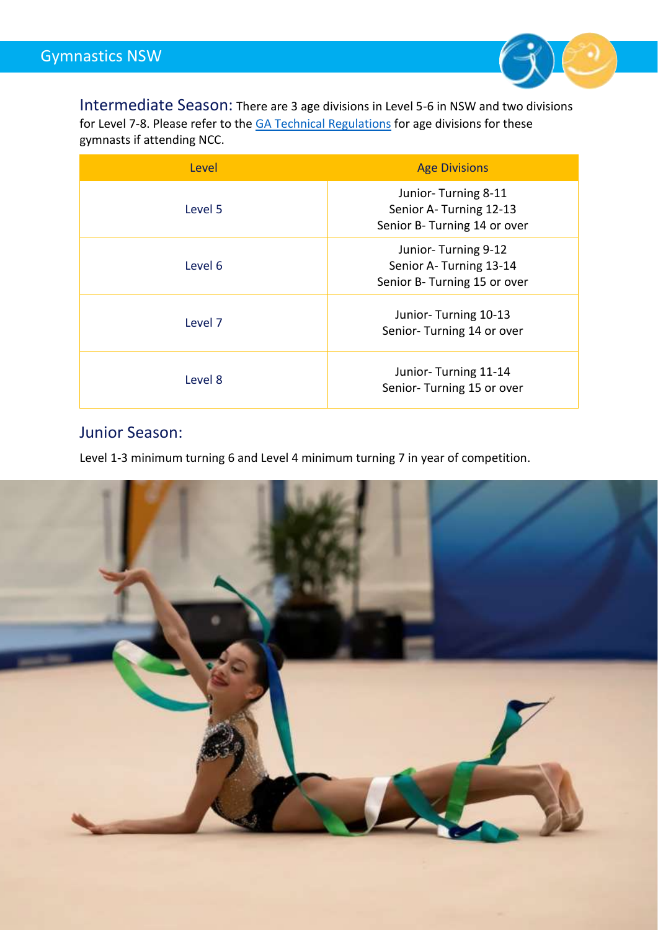

<span id="page-8-0"></span>Intermediate Season: There are 3 age divisions in Level 5-6 in NSW and two divisions for Level 7-8. Please refer to the **GA Technical Regulations** for age divisions for these gymnasts if attending NCC.

| Level   | <b>Age Divisions</b>                                                          |
|---------|-------------------------------------------------------------------------------|
| Level 5 | Junior-Turning 8-11<br>Senior A-Turning 12-13<br>Senior B- Turning 14 or over |
| Level 6 | Junior-Turning 9-12<br>Senior A-Turning 13-14<br>Senior B- Turning 15 or over |
| Level 7 | Junior-Turning 10-13<br>Senior-Turning 14 or over                             |
| Level 8 | Junior-Turning 11-14<br>Senior-Turning 15 or over                             |

#### <span id="page-8-1"></span>Junior Season:

Level 1-3 minimum turning 6 and Level 4 minimum turning 7 in year of competition.

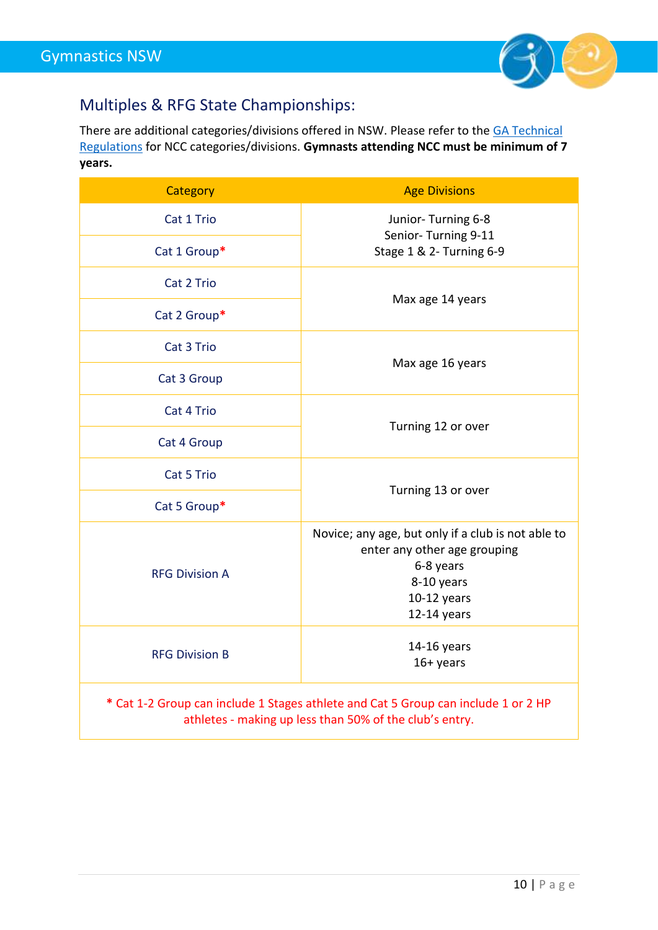

### <span id="page-9-0"></span>Multiples & RFG State Championships:

There are additional categories/divisions offered in NSW. Please refer to the [GA Technical](https://www.gymnastics.org.au/bylawsregulations)  [Regulations](https://www.gymnastics.org.au/bylawsregulations) for NCC categories/divisions. **Gymnasts attending NCC must be minimum of 7 years.**

| <b>Category</b>                                                                                                                               | <b>Age Divisions</b>                                                                                                                          |
|-----------------------------------------------------------------------------------------------------------------------------------------------|-----------------------------------------------------------------------------------------------------------------------------------------------|
| Cat 1 Trio                                                                                                                                    | Junior-Turning 6-8                                                                                                                            |
| Cat 1 Group*                                                                                                                                  | Senior-Turning 9-11<br>Stage 1 & 2- Turning 6-9                                                                                               |
| Cat 2 Trio                                                                                                                                    |                                                                                                                                               |
| Cat 2 Group*                                                                                                                                  | Max age 14 years                                                                                                                              |
| Cat 3 Trio                                                                                                                                    |                                                                                                                                               |
| Cat 3 Group                                                                                                                                   | Max age 16 years                                                                                                                              |
| Cat 4 Trio                                                                                                                                    |                                                                                                                                               |
| Cat 4 Group                                                                                                                                   | Turning 12 or over                                                                                                                            |
| Cat 5 Trio                                                                                                                                    |                                                                                                                                               |
| Cat 5 Group*                                                                                                                                  | Turning 13 or over                                                                                                                            |
| <b>RFG Division A</b>                                                                                                                         | Novice; any age, but only if a club is not able to<br>enter any other age grouping<br>6-8 years<br>8-10 years<br>10-12 years<br>$12-14$ years |
| <b>RFG Division B</b>                                                                                                                         | 14-16 years<br>$16+$ years                                                                                                                    |
| * Cat 1-2 Group can include 1 Stages athlete and Cat 5 Group can include 1 or 2 HP<br>athletes - making up less than 50% of the club's entry. |                                                                                                                                               |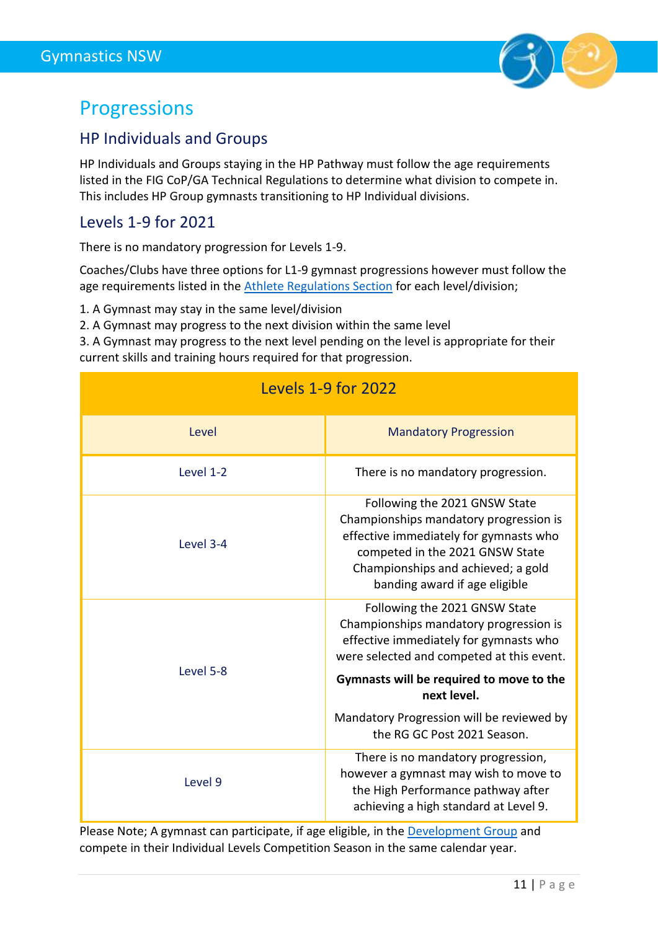

### <span id="page-10-0"></span>Progressions

#### <span id="page-10-1"></span>HP Individuals and Groups

HP Individuals and Groups staying in the HP Pathway must follow the age requirements listed in the FIG CoP/GA Technical Regulations to determine what division to compete in. This includes HP Group gymnasts transitioning to HP Individual divisions.

#### <span id="page-10-2"></span>Levels 1-9 for 2021

There is no mandatory progression for Levels 1-9.

Coaches/Clubs have three options for L1-9 gymnast progressions however must follow the age requirements listed in the [Athlete Regulations Section](#page-7-3) for each level/division;

- 1. A Gymnast may stay in the same level/division
- 2. A Gymnast may progress to the next division within the same level

3. A Gymnast may progress to the next level pending on the level is appropriate for their current skills and training hours required for that progression.

<span id="page-10-3"></span>

| <b>Levels 1-9 for 2022</b> |                                                                                                                                                                                                                             |  |
|----------------------------|-----------------------------------------------------------------------------------------------------------------------------------------------------------------------------------------------------------------------------|--|
| Level                      | <b>Mandatory Progression</b>                                                                                                                                                                                                |  |
| Level 1-2                  | There is no mandatory progression.                                                                                                                                                                                          |  |
| Level 3-4                  | Following the 2021 GNSW State<br>Championships mandatory progression is<br>effective immediately for gymnasts who<br>competed in the 2021 GNSW State<br>Championships and achieved; a gold<br>banding award if age eligible |  |
| Level 5-8                  | Following the 2021 GNSW State<br>Championships mandatory progression is<br>effective immediately for gymnasts who<br>were selected and competed at this event.                                                              |  |
|                            | Gymnasts will be required to move to the<br>next level.                                                                                                                                                                     |  |
|                            | Mandatory Progression will be reviewed by<br>the RG GC Post 2021 Season.                                                                                                                                                    |  |
| Level 9                    | There is no mandatory progression,<br>however a gymnast may wish to move to<br>the High Performance pathway after<br>achieving a high standard at Level 9.                                                                  |  |

Please Note; A gymnast can participate, if age eligible, in the **Development Group** and compete in their Individual Levels Competition Season in the same calendar year.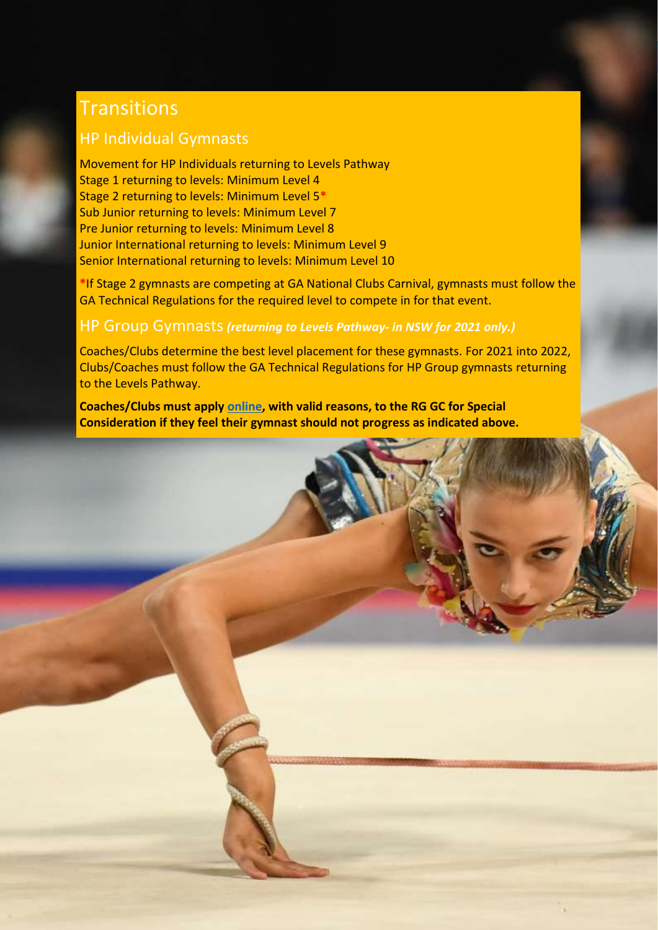### <span id="page-11-0"></span>**Transitions**

#### <span id="page-11-1"></span>HP Individual Gymnasts

Movement for HP Individuals returning to Levels Pathway Stage 1 returning to levels: Minimum Level 4 Stage 2 returning to levels: Minimum Level 5**\*** Sub Junior returning to levels: Minimum Level 7 Pre Junior returning to levels: Minimum Level 8 Junior International returning to levels: Minimum Level 9 Senior International returning to levels: Minimum Level 10

**\***If Stage 2 gymnasts are competing at GA National Clubs Carnival, gymnasts must follow the GA Technical Regulations for the required level to compete in for that event.

#### <span id="page-11-2"></span>HP Group Gymnasts*(returning to Levels Pathway- in NSW for 2021 only.)*

Coaches/Clubs determine the best level placement for these gymnasts. For 2021 into 2022, Clubs/Coaches must follow the GA Technical Regulations for HP Group gymnasts returning to the Levels Pathway.

**Coaches/Clubs must apply [online,](https://www.jotform.com/GymnasticsNSW/gnsw-committee-meetings--item-for-d) with valid reasons, to the RG GC for Special Consideration if they feel their gymnast should not progress as indicated above.**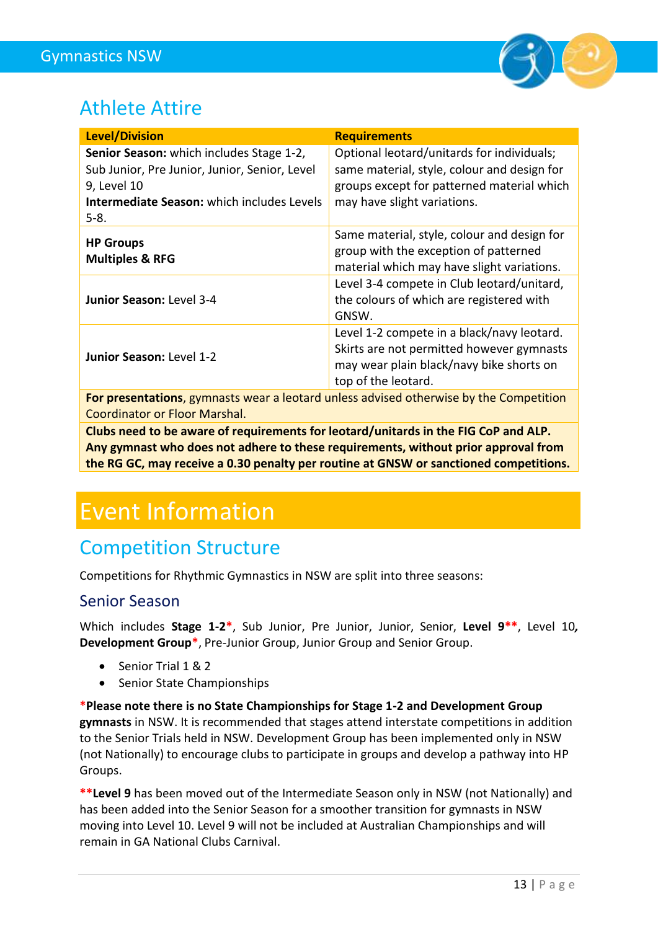

### <span id="page-12-0"></span>Athlete Attire

| <b>Level/Division</b>                                                                                                                                                     | <b>Requirements</b>                                                                                                                                                    |
|---------------------------------------------------------------------------------------------------------------------------------------------------------------------------|------------------------------------------------------------------------------------------------------------------------------------------------------------------------|
| Senior Season: which includes Stage 1-2,<br>Sub Junior, Pre Junior, Junior, Senior, Level<br>9, Level 10<br><b>Intermediate Season: which includes Levels</b><br>$5 - 8.$ | Optional leotard/unitards for individuals;<br>same material, style, colour and design for<br>groups except for patterned material which<br>may have slight variations. |
| <b>HP Groups</b><br><b>Multiples &amp; RFG</b>                                                                                                                            | Same material, style, colour and design for<br>group with the exception of patterned<br>material which may have slight variations.                                     |
| Junior Season: Level 3-4                                                                                                                                                  | Level 3-4 compete in Club leotard/unitard,<br>the colours of which are registered with<br>GNSW.                                                                        |
| Junior Season: Level 1-2                                                                                                                                                  | Level 1-2 compete in a black/navy leotard.<br>Skirts are not permitted however gymnasts<br>may wear plain black/navy bike shorts on<br>top of the leotard.             |

**For presentations**, gymnasts wear a leotard unless advised otherwise by the Competition Coordinator or Floor Marshal.

**Clubs need to be aware of requirements for leotard/unitards in the FIG CoP and ALP. Any gymnast who does not adhere to these requirements, without prior approval from the RG GC, may receive a 0.30 penalty per routine at GNSW or sanctioned competitions.**

# <span id="page-12-1"></span>Event Information

### <span id="page-12-2"></span>Competition Structure

Competitions for Rhythmic Gymnastics in NSW are split into three seasons:

#### <span id="page-12-3"></span>Senior Season

Which includes **Stage 1-2\***, Sub Junior, Pre Junior, Junior, Senior, **Level 9\*\***, Level 10*,*  **Development Group\***, Pre-Junior Group, Junior Group and Senior Group.

- Senior Trial 1 & 2
- Senior State Championships

**\*Please note there is no State Championships for Stage 1-2 and Development Group gymnasts** in NSW. It is recommended that stages attend interstate competitions in addition to the Senior Trials held in NSW. Development Group has been implemented only in NSW (not Nationally) to encourage clubs to participate in groups and develop a pathway into HP Groups.

**\*\*Level 9** has been moved out of the Intermediate Season only in NSW (not Nationally) and has been added into the Senior Season for a smoother transition for gymnasts in NSW moving into Level 10. Level 9 will not be included at Australian Championships and will remain in GA National Clubs Carnival.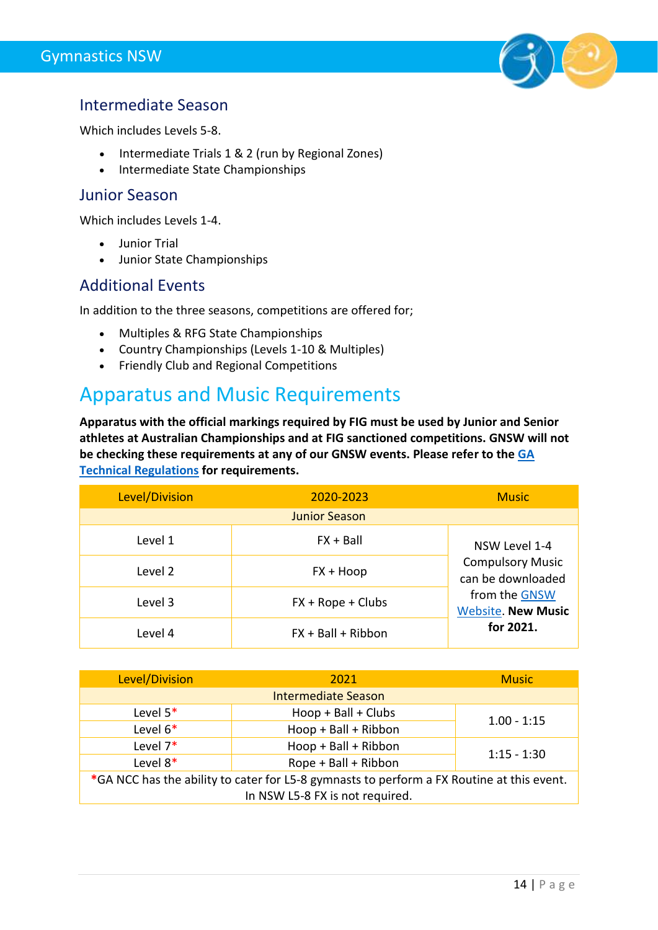

#### <span id="page-13-0"></span>Intermediate Season

Which includes Levels 5-8.

- Intermediate Trials 1 & 2 (run by Regional Zones)
- Intermediate State Championships

#### <span id="page-13-1"></span>Junior Season

Which includes Levels 1-4.

- Junior Trial
- Junior State Championships

#### <span id="page-13-2"></span>Additional Events

In addition to the three seasons, competitions are offered for;

- Multiples & RFG State Championships
- Country Championships (Levels 1-10 & Multiples)
- Friendly Club and Regional Competitions

### <span id="page-13-3"></span>Apparatus and Music Requirements

**Apparatus with the official markings required by FIG must be used by Junior and Senior athletes at Australian Championships and at FIG sanctioned competitions. GNSW will not be checking these requirements at any of our GNSW events. Please refer to th[e GA](https://www.gymnastics.org.au/bylawsregulations)  [Technical Regulations](https://www.gymnastics.org.au/bylawsregulations) for requirements.**

| Level/Division | 2020-2023            | <b>Music</b>                                 |
|----------------|----------------------|----------------------------------------------|
|                | <b>Junior Season</b> |                                              |
| Level 1        | $FX + Ball$          | NSW Level 1-4                                |
| Level 2        | $FX + Hoop$          | <b>Compulsory Music</b><br>can be downloaded |
| Level 3        | $FX + Rope + Clubs$  | from the GNSW<br><b>Website. New Music</b>   |
| Level 4        | $FX + Ball + Ribbon$ | for 2021.                                    |

| Level/Division                                                                            | 2021                 |               |  |  |  |
|-------------------------------------------------------------------------------------------|----------------------|---------------|--|--|--|
| <b>Intermediate Season</b>                                                                |                      |               |  |  |  |
| Level $5*$                                                                                | Hoop + Ball + Clubs  | $1.00 - 1:15$ |  |  |  |
| Level $6*$                                                                                | Hoop + Ball + Ribbon |               |  |  |  |
| Level $7*$                                                                                | Hoop + Ball + Ribbon |               |  |  |  |
| Level $8*$                                                                                | Rope + Ball + Ribbon | $1:15 - 1:30$ |  |  |  |
| *GA NCC has the ability to cater for L5-8 gymnasts to perform a FX Routine at this event. |                      |               |  |  |  |
| In NSW L5-8 FX is not required.                                                           |                      |               |  |  |  |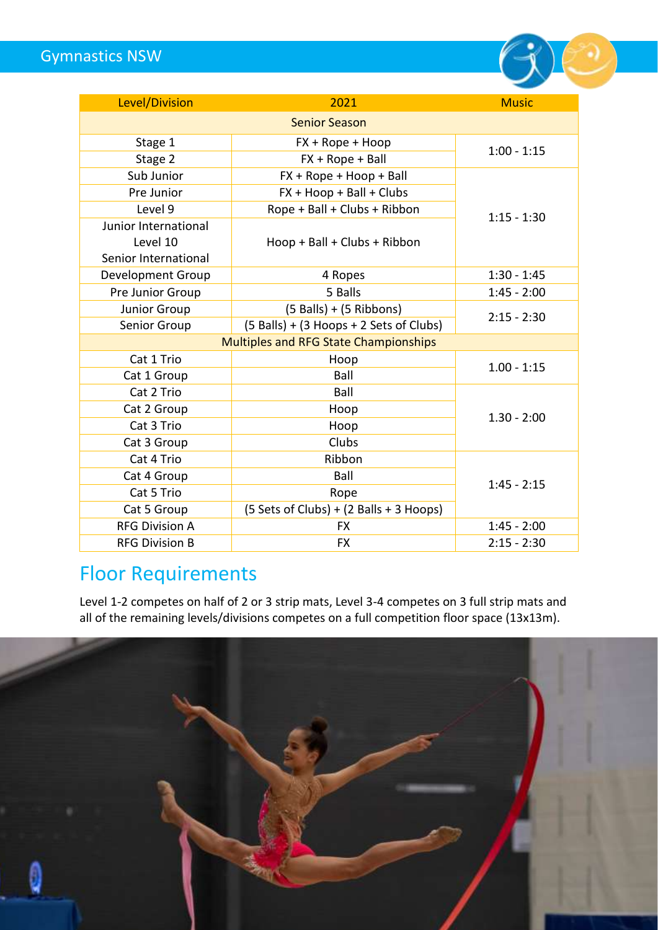Gymnastics NSW



| Level/Division                        | 2021                                    | <b>Music</b>  |  |  |  |
|---------------------------------------|-----------------------------------------|---------------|--|--|--|
| <b>Senior Season</b>                  |                                         |               |  |  |  |
| Stage 1                               | FX + Rope + Hoop                        | $1:00 - 1:15$ |  |  |  |
| Stage 2                               | $FX + Rope + Ball$                      |               |  |  |  |
| Sub Junior                            | FX + Rope + Hoop + Ball                 |               |  |  |  |
| Pre Junior                            | FX + Hoop + Ball + Clubs                |               |  |  |  |
| Level 9                               | Rope + Ball + Clubs + Ribbon            | $1:15 - 1:30$ |  |  |  |
| Junior International                  |                                         |               |  |  |  |
| Level 10                              | Hoop + Ball + Clubs + Ribbon            |               |  |  |  |
| Senior International                  |                                         |               |  |  |  |
| <b>Development Group</b>              | 4 Ropes                                 | $1:30 - 1:45$ |  |  |  |
| Pre Junior Group                      | 5 Balls                                 | $1:45 - 2:00$ |  |  |  |
| <b>Junior Group</b>                   | $(5$ Balls) + $(5$ Ribbons)             | $2:15 - 2:30$ |  |  |  |
| Senior Group                          | (5 Balls) + (3 Hoops + 2 Sets of Clubs) |               |  |  |  |
| Multiples and RFG State Championships |                                         |               |  |  |  |
| Cat 1 Trio                            | Hoop                                    | $1.00 - 1:15$ |  |  |  |
| Cat 1 Group                           | Ball                                    |               |  |  |  |
| Cat 2 Trio                            | Ball                                    |               |  |  |  |
| Cat 2 Group                           | Hoop                                    | $1.30 - 2:00$ |  |  |  |
| Cat 3 Trio                            | Hoop                                    |               |  |  |  |
| Cat 3 Group                           | Clubs                                   |               |  |  |  |
| Cat 4 Trio                            | Ribbon                                  |               |  |  |  |
| Cat 4 Group                           | Ball                                    | $1:45 - 2:15$ |  |  |  |
| Cat 5 Trio                            | Rope                                    |               |  |  |  |
| Cat 5 Group                           | (5 Sets of Clubs) + (2 Balls + 3 Hoops) |               |  |  |  |
| <b>RFG Division A</b>                 | <b>FX</b>                               | $1:45 - 2:00$ |  |  |  |
| <b>RFG Division B</b>                 | <b>FX</b>                               | $2:15 - 2:30$ |  |  |  |

### <span id="page-14-0"></span>Floor Requirements

Level 1-2 competes on half of 2 or 3 strip mats, Level 3-4 competes on 3 full strip mats and all of the remaining levels/divisions competes on a full competition floor space (13x13m).

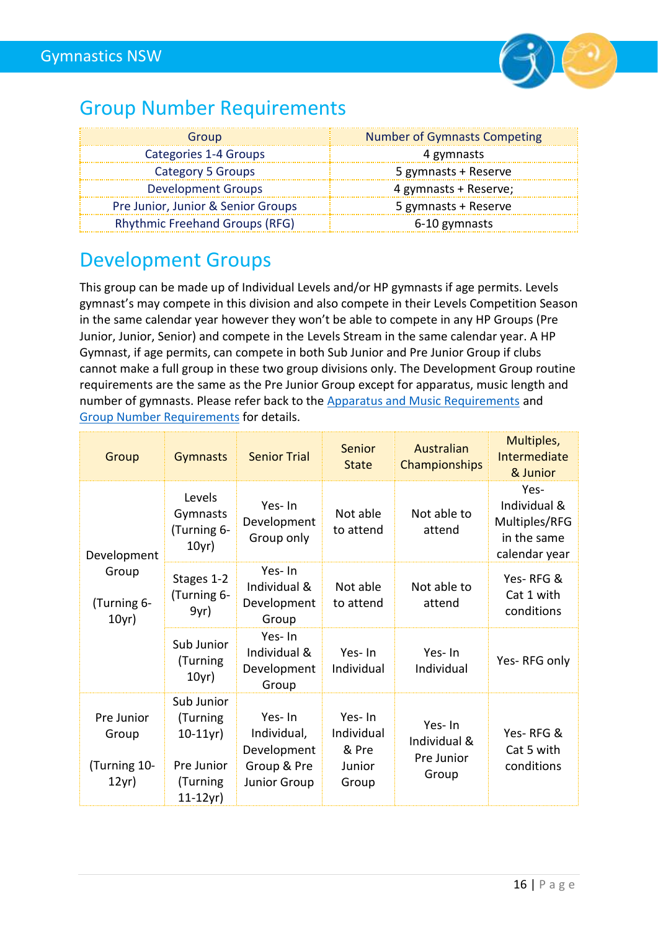

### <span id="page-15-0"></span>Group Number Requirements

| Group                                 | <b>Number of Gymnasts Competing</b> |
|---------------------------------------|-------------------------------------|
| Categories 1-4 Groups                 | 4 gymnasts                          |
| Category 5 Groups                     | 5 gymnasts + Reserve                |
| <b>Development Groups</b>             | 4 gymnasts + Reserve;               |
| Pre Junior, Junior & Senior Groups    | 5 gymnasts + Reserve                |
| <b>Rhythmic Freehand Groups (RFG)</b> | 6-10 gymnasts                       |

### <span id="page-15-1"></span>Development Groups

This group can be made up of Individual Levels and/or HP gymnasts if age permits. Levels gymnast's may compete in this division and also compete in their Levels Competition Season in the same calendar year however they won't be able to compete in any HP Groups (Pre Junior, Junior, Senior) and compete in the Levels Stream in the same calendar year. A HP Gymnast, if age permits, can compete in both Sub Junior and Pre Junior Group if clubs cannot make a full group in these two group divisions only. The Development Group routine requirements are the same as the Pre Junior Group except for apparatus, music length and number of gymnasts. Please refer back to the **Apparatus and Music Requirements** and [Group Number Requirements](#page-15-0) for details.

| Group                                       | <b>Gymnasts</b>                                                              | <b>Senior Trial</b>                                                        | Senior<br><b>State</b>                           | Australian<br>Championships                   | Multiples,<br>Intermediate<br>& Junior                                |
|---------------------------------------------|------------------------------------------------------------------------------|----------------------------------------------------------------------------|--------------------------------------------------|-----------------------------------------------|-----------------------------------------------------------------------|
| Development                                 | Levels<br>Gymnasts<br>(Turning 6-<br>10yr)                                   | Yes-In<br>Development<br>Group only                                        | Not able<br>to attend                            | Not able to<br>attend                         | Yes-<br>Individual &<br>Multiples/RFG<br>in the same<br>calendar year |
| Group<br>(Turning 6-<br>10yr)               | Stages 1-2<br>(Turning 6-<br>9yr)                                            | Yes-In<br>Individual &<br>Development<br>Group                             | Not able<br>to attend                            | Not able to<br>attend                         | Yes-RFG&<br>Cat 1 with<br>conditions                                  |
|                                             | Sub Junior<br>(Turning<br>10yr)                                              | Yes-In<br>Individual &<br>Development<br>Group                             | Yes-In<br>Individual                             | Yes-In<br>Individual                          | Yes-RFG only                                                          |
| Pre Junior<br>Group<br>Turning 10-<br>12yr) | Sub Junior<br>(Turning<br>$10-11$ yr)<br>Pre Junior<br>(Turning<br>$11-12yr$ | Yes-In<br>Individual,<br>Development<br>Group & Pre<br><b>Junior Group</b> | Yes-In<br>Individual<br>& Pre<br>Junior<br>Group | Yes-In<br>Individual &<br>Pre Junior<br>Group | Yes-RFG&<br>Cat 5 with<br>conditions                                  |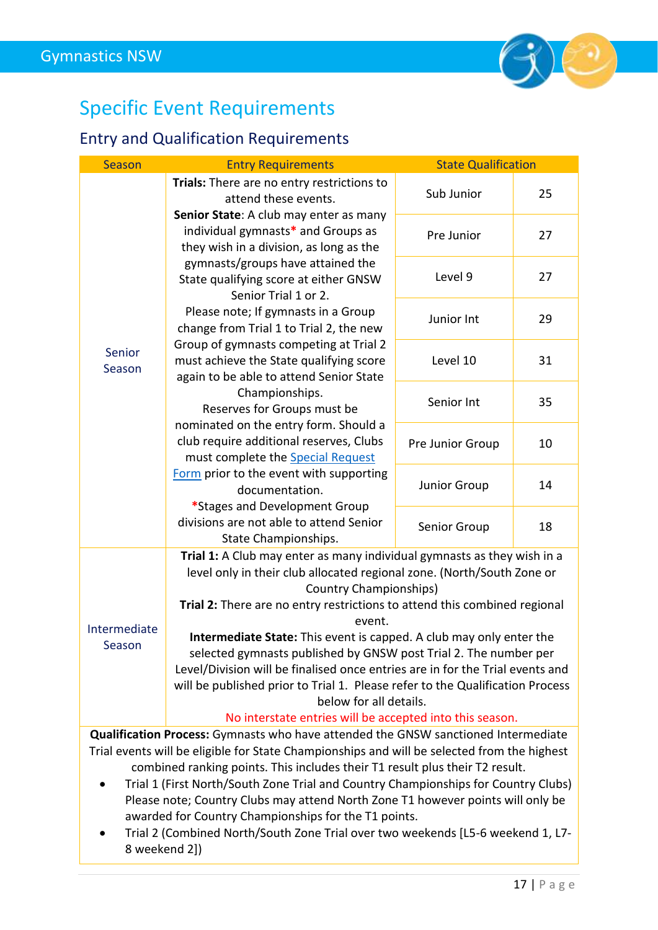

# <span id="page-16-0"></span>Specific Event Requirements

### <span id="page-16-1"></span>Entry and Qualification Requirements

| <b>Season</b>                                                                      | <b>Entry Requirements</b>                                                                                                                                                                                                                                                                                                           | <b>State Qualification</b> |    |  |  |
|------------------------------------------------------------------------------------|-------------------------------------------------------------------------------------------------------------------------------------------------------------------------------------------------------------------------------------------------------------------------------------------------------------------------------------|----------------------------|----|--|--|
|                                                                                    | Trials: There are no entry restrictions to<br>attend these events.                                                                                                                                                                                                                                                                  | Sub Junior                 | 25 |  |  |
|                                                                                    | Senior State: A club may enter as many<br>individual gymnasts* and Groups as<br>they wish in a division, as long as the                                                                                                                                                                                                             | Pre Junior                 | 27 |  |  |
|                                                                                    | gymnasts/groups have attained the<br>State qualifying score at either GNSW<br>Senior Trial 1 or 2.                                                                                                                                                                                                                                  | Level 9                    | 27 |  |  |
|                                                                                    | Please note; If gymnasts in a Group<br>change from Trial 1 to Trial 2, the new                                                                                                                                                                                                                                                      | Junior Int                 | 29 |  |  |
| Senior<br>Season                                                                   | Group of gymnasts competing at Trial 2<br>must achieve the State qualifying score<br>again to be able to attend Senior State                                                                                                                                                                                                        | Level 10                   | 31 |  |  |
|                                                                                    | Championships.<br>Reserves for Groups must be                                                                                                                                                                                                                                                                                       | Senior Int                 | 35 |  |  |
|                                                                                    | nominated on the entry form. Should a<br>club require additional reserves, Clubs<br>must complete the Special Request                                                                                                                                                                                                               | Pre Junior Group           | 10 |  |  |
|                                                                                    | Form prior to the event with supporting<br>documentation.<br>*Stages and Development Group                                                                                                                                                                                                                                          | Junior Group               | 14 |  |  |
|                                                                                    | divisions are not able to attend Senior<br>State Championships.                                                                                                                                                                                                                                                                     | Senior Group               | 18 |  |  |
|                                                                                    | Trial 1: A Club may enter as many individual gymnasts as they wish in a<br>level only in their club allocated regional zone. (North/South Zone or<br><b>Country Championships)</b>                                                                                                                                                  |                            |    |  |  |
|                                                                                    | Trial 2: There are no entry restrictions to attend this combined regional<br>event.                                                                                                                                                                                                                                                 |                            |    |  |  |
| Intermediate<br>Season                                                             | Intermediate State: This event is capped. A club may only enter the<br>selected gymnasts published by GNSW post Trial 2. The number per<br>Level/Division will be finalised once entries are in for the Trial events and<br>will be published prior to Trial 1. Please refer to the Qualification Process<br>below for all details. |                            |    |  |  |
|                                                                                    | No interstate entries will be accepted into this season.                                                                                                                                                                                                                                                                            |                            |    |  |  |
|                                                                                    | <b>Qualification Process:</b> Gymnasts who have attended the GNSW sanctioned Intermediate                                                                                                                                                                                                                                           |                            |    |  |  |
|                                                                                    | Trial events will be eligible for State Championships and will be selected from the highest                                                                                                                                                                                                                                         |                            |    |  |  |
| combined ranking points. This includes their T1 result plus their T2 result.       |                                                                                                                                                                                                                                                                                                                                     |                            |    |  |  |
| Trial 1 (First North/South Zone Trial and Country Championships for Country Clubs) |                                                                                                                                                                                                                                                                                                                                     |                            |    |  |  |
| Please note; Country Clubs may attend North Zone T1 however points will only be    |                                                                                                                                                                                                                                                                                                                                     |                            |    |  |  |
|                                                                                    | awarded for Country Championships for the T1 points.                                                                                                                                                                                                                                                                                |                            |    |  |  |
| 8 weekend 2])                                                                      | Trial 2 (Combined North/South Zone Trial over two weekends [L5-6 weekend 1, L7-                                                                                                                                                                                                                                                     |                            |    |  |  |
|                                                                                    |                                                                                                                                                                                                                                                                                                                                     |                            |    |  |  |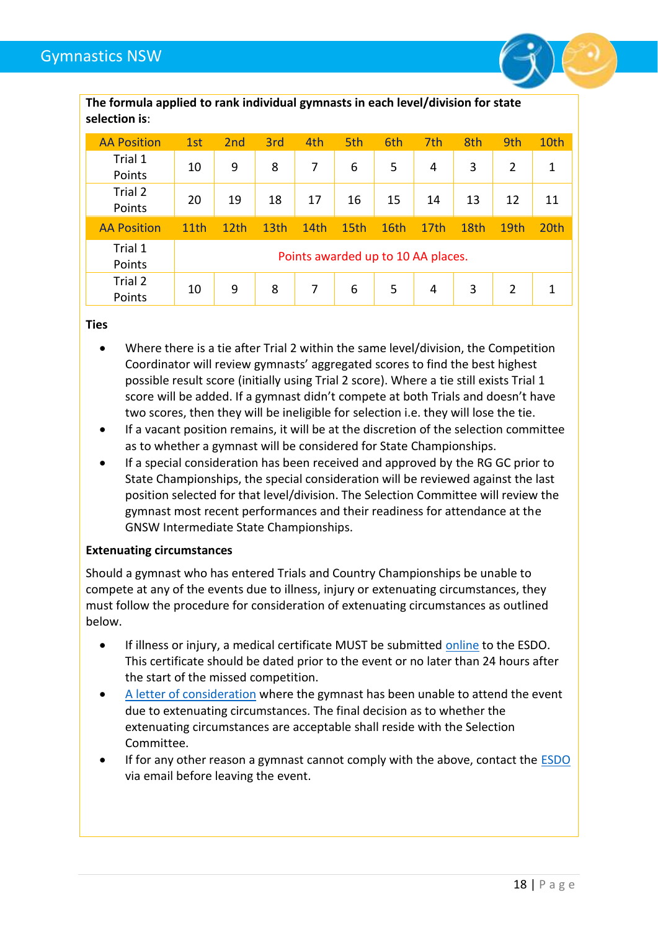

| <b>AA Position</b> | 1st  | 2nd              | 3rd  | 4th  | 5th  | 6th                                | 7th              | 8th  | 9th            | 10th |
|--------------------|------|------------------|------|------|------|------------------------------------|------------------|------|----------------|------|
| Trial 1<br>Points  | 10   | 9                | 8    | 7    | 6    | 5                                  | 4                | 3    | $\overline{2}$ | 1    |
| Trial 2<br>Points  | 20   | 19               | 18   | 17   | 16   | 15                                 | 14               | 13   | 12             | 11   |
| <b>AA Position</b> | 11th | 12 <sub>th</sub> | 13th | 14th | 15th | 16th                               | 17 <sub>th</sub> | 18th | 19th           | 20th |
| Trial 1<br>Points  |      |                  |      |      |      | Points awarded up to 10 AA places. |                  |      |                |      |
| Trial 2<br>Points  | 10   | 9                | 8    | 7    | 6    | 5                                  | 4                | 3    | $\overline{2}$ | 1    |

**Ties**

- Where there is a tie after Trial 2 within the same level/division, the Competition Coordinator will review gymnasts' aggregated scores to find the best highest possible result score (initially using Trial 2 score). Where a tie still exists Trial 1 score will be added. If a gymnast didn't compete at both Trials and doesn't have two scores, then they will be ineligible for selection i.e. they will lose the tie.
- If a vacant position remains, it will be at the discretion of the selection committee as to whether a gymnast will be considered for State Championships.
- If a special consideration has been received and approved by the RG GC prior to State Championships, the special consideration will be reviewed against the last position selected for that level/division. The Selection Committee will review the gymnast most recent performances and their readiness for attendance at the GNSW Intermediate State Championships.

#### **Extenuating circumstances**

Should a gymnast who has entered Trials and Country Championships be unable to compete at any of the events due to illness, injury or extenuating circumstances, they must follow the procedure for consideration of extenuating circumstances as outlined below.

- If illness or injury, a medical certificate MUST be submitted [online](https://form.jotform.com/201548647244054) to the ESDO. This certificate should be dated prior to the event or no later than 24 hours after the start of the missed competition.
- [A letter of consideration](https://www.jotform.com/GymnasticsNSW/gnsw-committee-meetings--item-for-d) where the gymnast has been unable to attend the event due to extenuating circumstances. The final decision as to whether the extenuating circumstances are acceptable shall reside with the Selection Committee.
- If for any other reason a gymnast cannot comply with the above, contact the **ESDO** via email before leaving the event.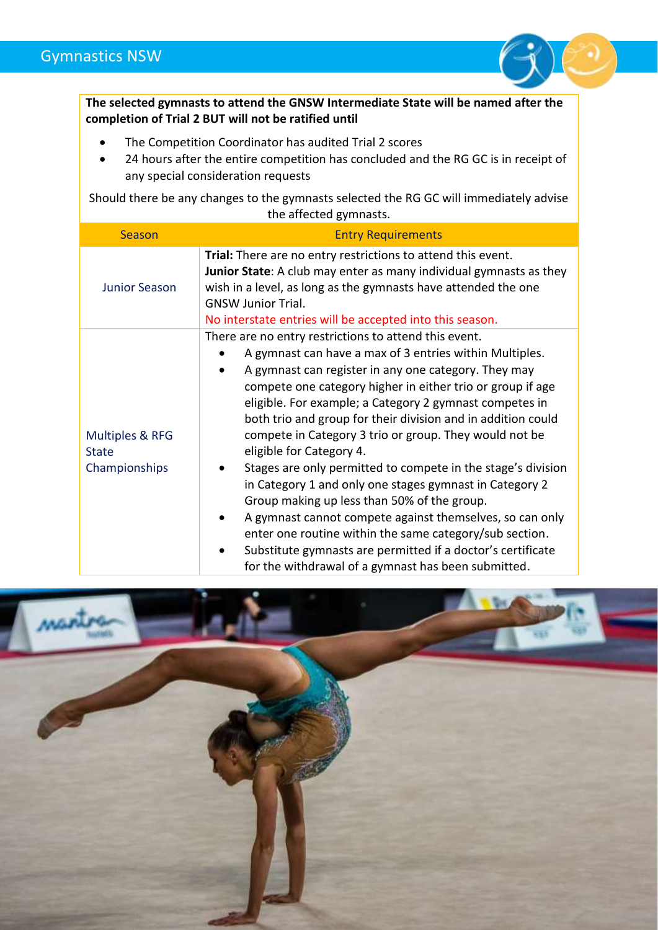

**The selected gymnasts to attend the GNSW Intermediate State will be named after the completion of Trial 2 BUT will not be ratified until**

- The Competition Coordinator has audited Trial 2 scores
- 24 hours after the entire competition has concluded and the RG GC is in receipt of any special consideration requests

Should there be any changes to the gymnasts selected the RG GC will immediately advise the affected gymnasts.

| Season                                                      | <b>Entry Requirements</b>                                                                                                                                                                                                                                                                                                                                                                                                                                                                                                                                                                                                                                                                                                                                                                                                                                                      |
|-------------------------------------------------------------|--------------------------------------------------------------------------------------------------------------------------------------------------------------------------------------------------------------------------------------------------------------------------------------------------------------------------------------------------------------------------------------------------------------------------------------------------------------------------------------------------------------------------------------------------------------------------------------------------------------------------------------------------------------------------------------------------------------------------------------------------------------------------------------------------------------------------------------------------------------------------------|
| <b>Junior Season</b>                                        | Trial: There are no entry restrictions to attend this event.<br>Junior State: A club may enter as many individual gymnasts as they<br>wish in a level, as long as the gymnasts have attended the one<br><b>GNSW Junior Trial.</b><br>No interstate entries will be accepted into this season.                                                                                                                                                                                                                                                                                                                                                                                                                                                                                                                                                                                  |
| <b>Multiples &amp; RFG</b><br><b>State</b><br>Championships | There are no entry restrictions to attend this event.<br>A gymnast can have a max of 3 entries within Multiples.<br>A gymnast can register in any one category. They may<br>compete one category higher in either trio or group if age<br>eligible. For example; a Category 2 gymnast competes in<br>both trio and group for their division and in addition could<br>compete in Category 3 trio or group. They would not be<br>eligible for Category 4.<br>Stages are only permitted to compete in the stage's division<br>in Category 1 and only one stages gymnast in Category 2<br>Group making up less than 50% of the group.<br>A gymnast cannot compete against themselves, so can only<br>enter one routine within the same category/sub section.<br>Substitute gymnasts are permitted if a doctor's certificate<br>for the withdrawal of a gymnast has been submitted. |

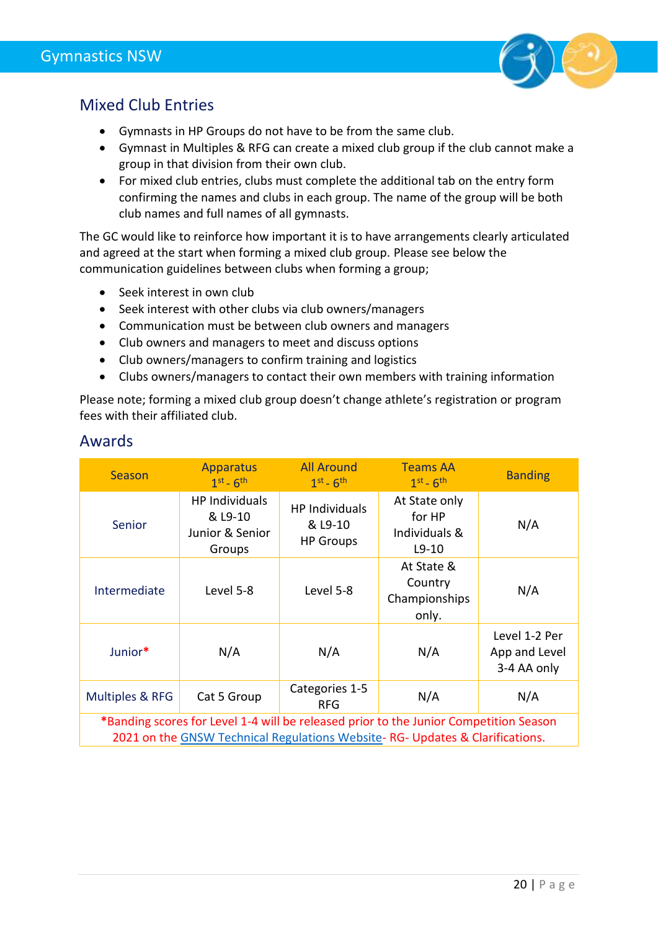

#### <span id="page-19-0"></span>Mixed Club Entries

- Gymnasts in HP Groups do not have to be from the same club.
- Gymnast in Multiples & RFG can create a mixed club group if the club cannot make a group in that division from their own club.
- For mixed club entries, clubs must complete the additional tab on the entry form confirming the names and clubs in each group. The name of the group will be both club names and full names of all gymnasts.

The GC would like to reinforce how important it is to have arrangements clearly articulated and agreed at the start when forming a mixed club group. Please see below the communication guidelines between clubs when forming a group;

- Seek interest in own club
- Seek interest with other clubs via club owners/managers
- Communication must be between club owners and managers
- Club owners and managers to meet and discuss options
- Club owners/managers to confirm training and logistics
- Clubs owners/managers to contact their own members with training information

Please note; forming a mixed club group doesn't change athlete's registration or program fees with their affiliated club.

| Season                                                                                                                                                                | <b>Apparatus</b><br>$1st - 6th$                               | <b>All Around</b><br>$1st - 6th$                     | <b>Teams AA</b><br>$1st - 6th$                      | <b>Banding</b>                                |
|-----------------------------------------------------------------------------------------------------------------------------------------------------------------------|---------------------------------------------------------------|------------------------------------------------------|-----------------------------------------------------|-----------------------------------------------|
| Senior                                                                                                                                                                | <b>HP Individuals</b><br>& L9-10<br>Junior & Senior<br>Groups | <b>HP Individuals</b><br>& L9-10<br><b>HP Groups</b> | At State only<br>for HP<br>Individuals &<br>$L9-10$ | N/A                                           |
| Intermediate                                                                                                                                                          | Level 5-8                                                     | Level 5-8                                            | At State &<br>Country<br>Championships<br>only.     | N/A                                           |
| Junior*                                                                                                                                                               | N/A                                                           | N/A                                                  | N/A                                                 | Level 1-2 Per<br>App and Level<br>3-4 AA only |
| Multiples & RFG                                                                                                                                                       | Cat 5 Group                                                   | Categories 1-5<br><b>RFG</b>                         | N/A                                                 | N/A                                           |
| *Banding scores for Level 1-4 will be released prior to the Junior Competition Season<br>2021 on the GNSW Technical Regulations Website-RG- Updates & Clarifications. |                                                               |                                                      |                                                     |                                               |

#### <span id="page-19-1"></span>Awards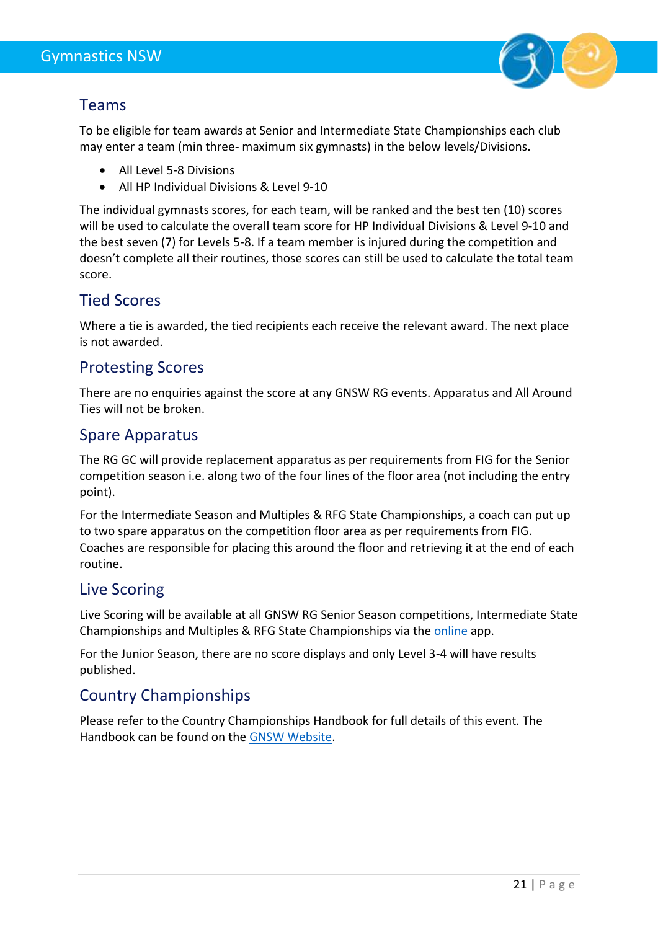

#### <span id="page-20-0"></span>Teams

To be eligible for team awards at Senior and Intermediate State Championships each club may enter a team (min three- maximum six gymnasts) in the below levels/Divisions.

- All Level 5-8 Divisions
- All HP Individual Divisions & Level 9-10

The individual gymnasts scores, for each team, will be ranked and the best ten (10) scores will be used to calculate the overall team score for HP Individual Divisions & Level 9-10 and the best seven (7) for Levels 5-8. If a team member is injured during the competition and doesn't complete all their routines, those scores can still be used to calculate the total team score.

#### <span id="page-20-1"></span>Tied Scores

Where a tie is awarded, the tied recipients each receive the relevant award. The next place is not awarded.

#### <span id="page-20-2"></span>Protesting Scores

There are no enquiries against the score at any GNSW RG events. Apparatus and All Around Ties will not be broken.

#### <span id="page-20-3"></span>Spare Apparatus

The RG GC will provide replacement apparatus as per requirements from FIG for the Senior competition season i.e. along two of the four lines of the floor area (not including the entry point).

For the Intermediate Season and Multiples & RFG State Championships, a coach can put up to two spare apparatus on the competition floor area as per requirements from FIG. Coaches are responsible for placing this around the floor and retrieving it at the end of each routine.

#### <span id="page-20-4"></span>Live Scoring

Live Scoring will be available at all GNSW RG Senior Season competitions, Intermediate State Championships and Multiples & RFG State Championships via the [online](https://app.rgscores.com/) app.

For the Junior Season, there are no score displays and only Level 3-4 will have results published.

#### <span id="page-20-5"></span>Country Championships

Please refer to the Country Championships Handbook for full details of this event. The Handbook can be found on the [GNSW Website.](http://www.gymnsw.org.au/NSW/Our_Events/NSW/Events/Calendar/COVID_2020_event_calendar.aspx?hkey=7b7f5947-0b66-40ae-82d5-b38fc0685030)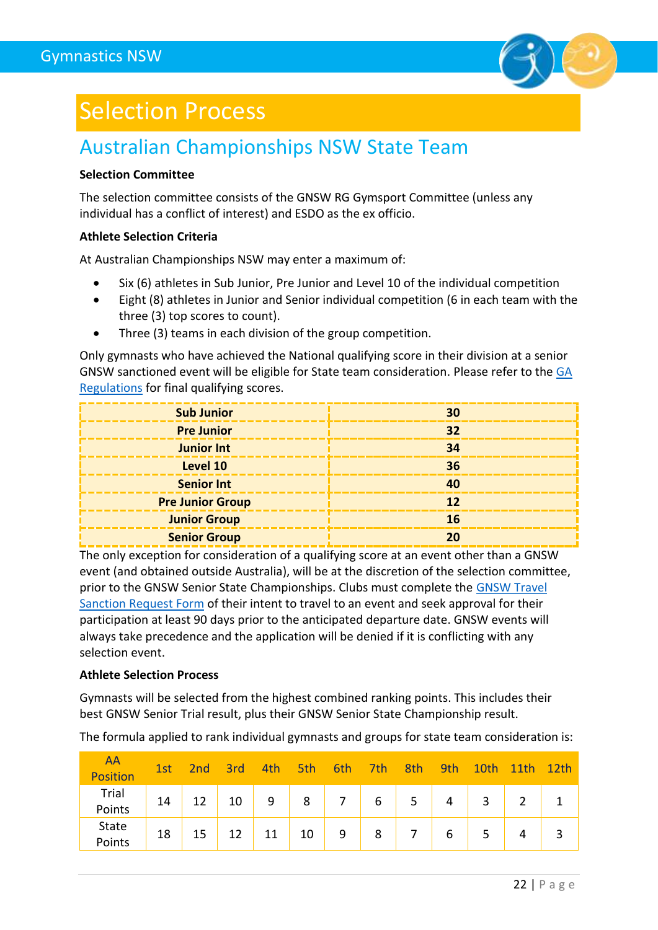

# <span id="page-21-0"></span>Selection Process

### <span id="page-21-1"></span>Australian Championships NSW State Team

#### **Selection Committee**

The selection committee consists of the GNSW RG Gymsport Committee (unless any individual has a conflict of interest) and ESDO as the ex officio.

#### **Athlete Selection Criteria**

At Australian Championships NSW may enter a maximum of:

- Six (6) athletes in Sub Junior, Pre Junior and Level 10 of the individual competition
- Eight (8) athletes in Junior and Senior individual competition (6 in each team with the three (3) top scores to count).
- Three (3) teams in each division of the group competition.

Only gymnasts who have achieved the National qualifying score in their division at a senior GNSW sanctioned event will be eligible for State team consideration. Please refer to the [GA](https://www.gymnastics.org.au/GA/About_Us/By-laws__Policies___Technical_Regulations/Ga/About/By-laws__Policies___Technical_Regulations.aspx?hkey=08379530-4144-406e-ba6f-914e3e53d934)  [Regulations](https://www.gymnastics.org.au/GA/About_Us/By-laws__Policies___Technical_Regulations/Ga/About/By-laws__Policies___Technical_Regulations.aspx?hkey=08379530-4144-406e-ba6f-914e3e53d934) for final qualifying scores.

| <b>Sub Junior</b>       | 30 |
|-------------------------|----|
| <b>Pre Junior</b>       | 32 |
| <b>Junior Int</b>       | 34 |
| Level 10                | 36 |
| <b>Senior Int</b>       |    |
| <b>Pre Junior Group</b> |    |
| <b>Junior Group</b>     | 16 |
| <b>Senior Group</b>     |    |

The only exception for consideration of a qualifying score at an event other than a GNSW event (and obtained outside Australia), will be at the discretion of the selection committee, prior to the GNSW Senior State Championships. Clubs must complete the [GNSW Travel](https://www.jotform.com/GymnasticsNSW/gnsw-travel-sanction-request)  [Sanction Request Form](https://www.jotform.com/GymnasticsNSW/gnsw-travel-sanction-request) of their intent to travel to an event and seek approval for their participation at least 90 days prior to the anticipated departure date. GNSW events will always take precedence and the application will be denied if it is conflicting with any selection event.

#### **Athlete Selection Process**

Gymnasts will be selected from the highest combined ranking points. This includes their best GNSW Senior Trial result, plus their GNSW Senior State Championship result.

AA Position 1st 2nd 3rd 4th 5th 6th 7th 8th 9th 10th 11th 12th Trial Points 14 12 10 9 8 7 6 5 4 3 2 1 State Points 18 15 12 11 10 9 8 7 6 5 4 3

The formula applied to rank individual gymnasts and groups for state team consideration is: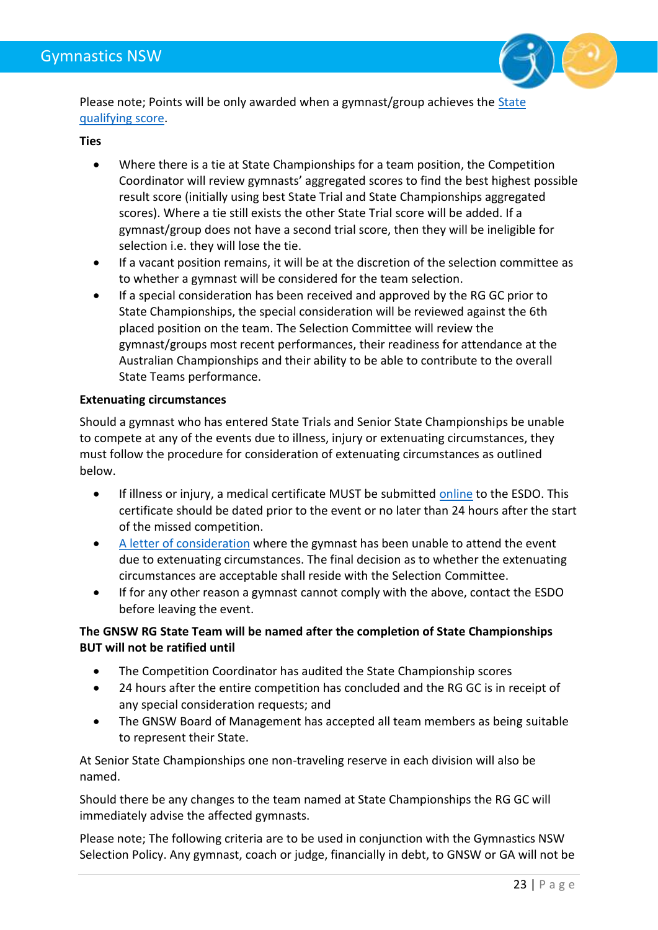

Please note; Points will be only awarded when a gymnast/group achieves the State [qualifying score.](#page-16-1)

#### **Ties**

- Where there is a tie at State Championships for a team position, the Competition Coordinator will review gymnasts' aggregated scores to find the best highest possible result score (initially using best State Trial and State Championships aggregated scores). Where a tie still exists the other State Trial score will be added. If a gymnast/group does not have a second trial score, then they will be ineligible for selection i.e. they will lose the tie.
- If a vacant position remains, it will be at the discretion of the selection committee as to whether a gymnast will be considered for the team selection.
- If a special consideration has been received and approved by the RG GC prior to State Championships, the special consideration will be reviewed against the 6th placed position on the team. The Selection Committee will review the gymnast/groups most recent performances, their readiness for attendance at the Australian Championships and their ability to be able to contribute to the overall State Teams performance.

#### **Extenuating circumstances**

Should a gymnast who has entered State Trials and Senior State Championships be unable to compete at any of the events due to illness, injury or extenuating circumstances, they must follow the procedure for consideration of extenuating circumstances as outlined below.

- If illness or injury, a medical certificate MUST be submitted [online](https://form.jotform.com/201548647244054) to the ESDO. This certificate should be dated prior to the event or no later than 24 hours after the start of the missed competition.
- [A letter of consideration](https://www.jotform.com/GymnasticsNSW/gnsw-committee-meetings--item-for-d) where the gymnast has been unable to attend the event due to extenuating circumstances. The final decision as to whether the extenuating circumstances are acceptable shall reside with the Selection Committee.
- If for any other reason a gymnast cannot comply with the above, contact the ESDO before leaving the event.

#### **The GNSW RG State Team will be named after the completion of State Championships BUT will not be ratified until**

- The Competition Coordinator has audited the State Championship scores
- 24 hours after the entire competition has concluded and the RG GC is in receipt of any special consideration requests; and
- The GNSW Board of Management has accepted all team members as being suitable to represent their State.

At Senior State Championships one non-traveling reserve in each division will also be named.

Should there be any changes to the team named at State Championships the RG GC will immediately advise the affected gymnasts.

Please note; The following criteria are to be used in conjunction with the Gymnastics NSW Selection Policy. Any gymnast, coach or judge, financially in debt, to GNSW or GA will not be